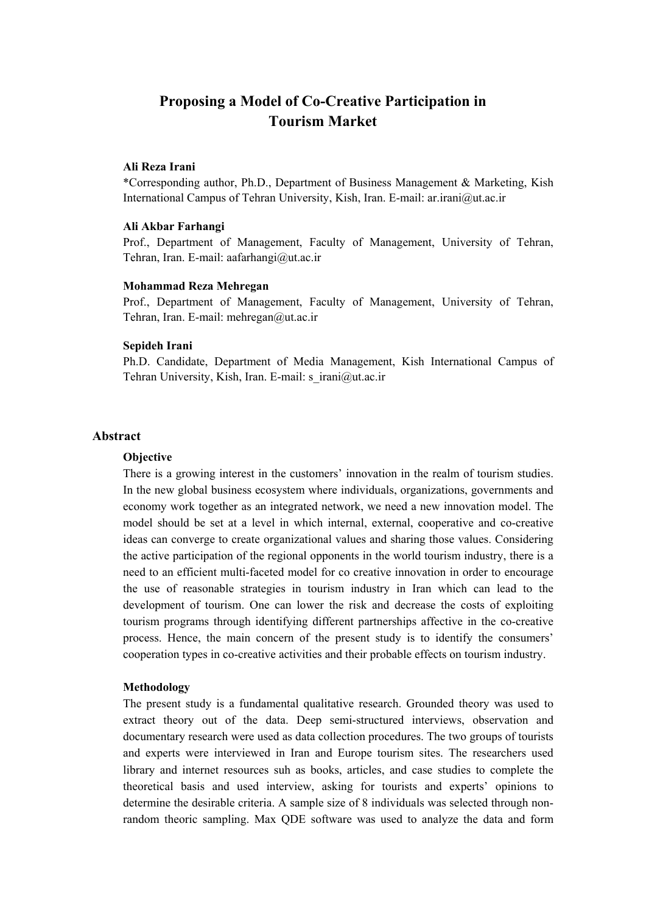# **Proposing a Model of Co-Creative Participation in Tourism Market**

#### **Ali Reza Irani**

\*Corresponding author, Ph.D., Department of Business Management & Marketing, Kish International Campus of Tehran University, Kish, Iran. E-mail: ar.irani@ut.ac.ir

#### **Ali Akbar Farhangi**

Prof., Department of Management, Faculty of Management, University of Tehran, Tehran, Iran. E-mail: aafarhangi@ut.ac.ir

#### **Mohammad Reza Mehregan**

Prof., Department of Management, Faculty of Management, University of Tehran, Tehran, Iran. E-mail: mehregan@ut.ac.ir

#### **Sepideh Irani**

Ph.D. Candidate, Department of Media Management, Kish International Campus of Tehran University, Kish, Iran. E-mail: s\_irani@ut.ac.ir

## **Abstract**

#### **Objective**

There is a growing interest in the customers' innovation in the realm of tourism studies. In the new global business ecosystem where individuals, organizations, governments and economy work together as an integrated network, we need a new innovation model. The model should be set at a level in which internal, external, cooperative and co-creative ideas can converge to create organizational values and sharing those values. Considering the active participation of the regional opponents in the world tourism industry, there is a need to an efficient multi-faceted model for co creative innovation in order to encourage the use of reasonable strategies in tourism industry in Iran which can lead to the development of tourism. One can lower the risk and decrease the costs of exploiting tourism programs through identifying different partnerships affective in the co-creative process. Hence, the main concern of the present study is to identify the consumers' cooperation types in co-creative activities and their probable effects on tourism industry.

#### **Methodology**

The present study is a fundamental qualitative research. Grounded theory was used to extract theory out of the data. Deep semi-structured interviews, observation and documentary research were used as data collection procedures. The two groups of tourists and experts were interviewed in Iran and Europe tourism sites. The researchers used library and internet resources suh as books, articles, and case studies to complete the theoretical basis and used interview, asking for tourists and experts' opinions to determine the desirable criteria. A sample size of 8 individuals was selected through nonrandom theoric sampling. Max QDE software was used to analyze the data and form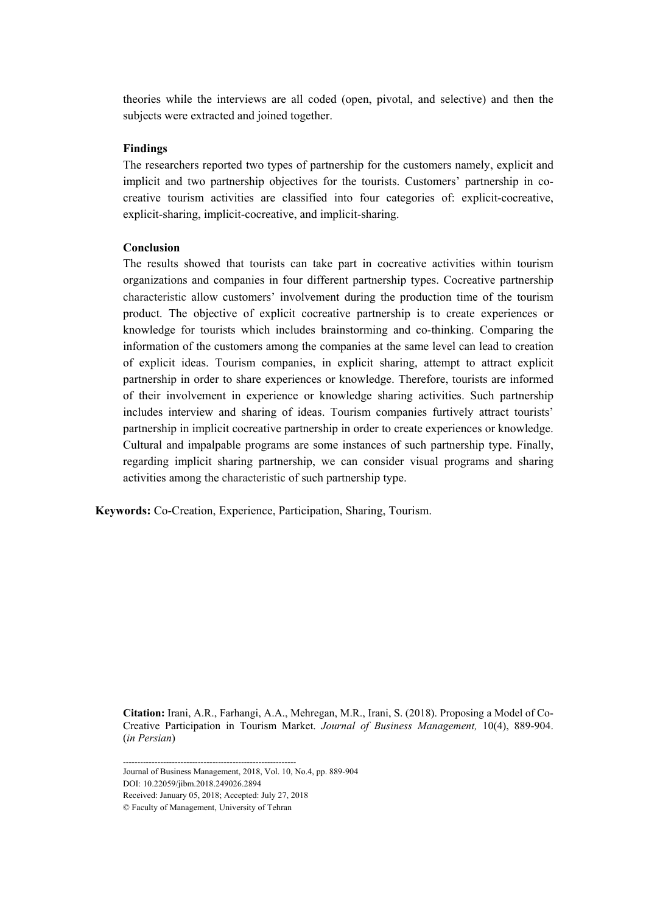theories while the interviews are all coded (open, pivotal, and selective) and then the subjects were extracted and joined together.

## **Findings**

The researchers reported two types of partnership for the customers namely, explicit and implicit and two partnership objectives for the tourists. Customers' partnership in cocreative tourism activities are classified into four categories of: explicit-cocreative, explicit-sharing, implicit-cocreative, and implicit-sharing.

## **Conclusion**

The results showed that tourists can take part in cocreative activities within tourism organizations and companies in four different partnership types. Cocreative partnership characteristic allow customers' involvement during the production time of the tourism product. The objective of explicit cocreative partnership is to create experiences or knowledge for tourists which includes brainstorming and co-thinking. Comparing the information of the customers among the companies at the same level can lead to creation of explicit ideas. Tourism companies, in explicit sharing, attempt to attract explicit partnership in order to share experiences or knowledge. Therefore, tourists are informed of their involvement in experience or knowledge sharing activities. Such partnership includes interview and sharing of ideas. Tourism companies furtively attract tourists' partnership in implicit cocreative partnership in order to create experiences or knowledge. Cultural and impalpable programs are some instances of such partnership type. Finally, regarding implicit sharing partnership, we can consider visual programs and sharing activities among the characteristic of such partnership type.

 **Keywords:** Co-Creation, Experience, Participation, Sharing, Tourism.

**Citation:** Irani, A.R., Farhangi, A.A., Mehregan, M.R., Irani, S. (2018). Proposing a Model of Co-Creative Participation in Tourism Market. *Journal of Business Management,* 10(4), 889-904. (*in Persian*)

DOI: 10.22059/jibm.2018.249026.2894 Received: January 05, 2018; Accepted: July 27, 2018 © Faculty of Management, University of Tehran ------------------------------------------------------------ Journal of Business Management, 2018, Vol. 10, No.4, pp. 889-904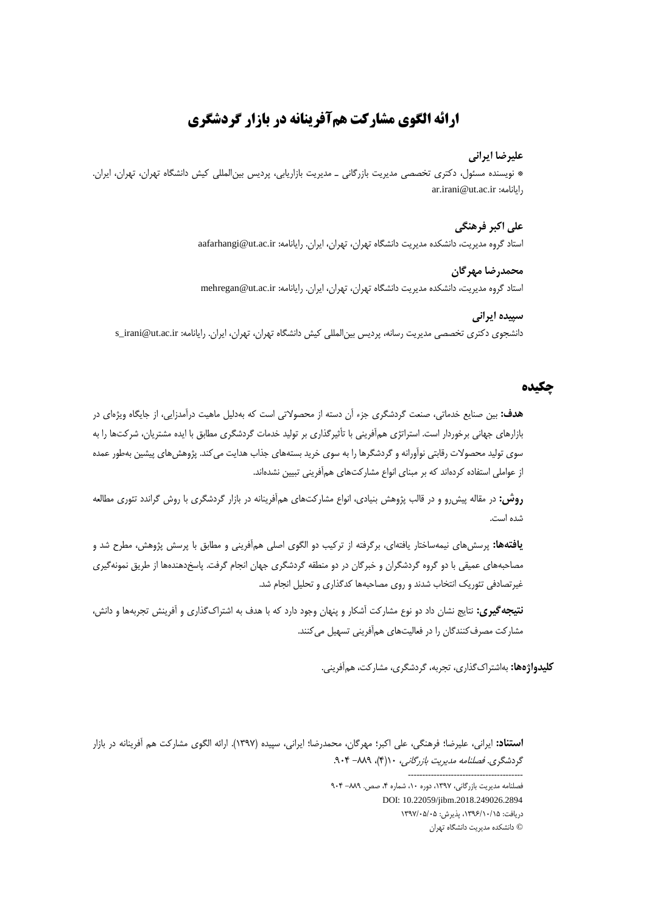# **ارائه الگوی مشارکت همآفرینانه در بازار گردشگری**

## **عليرضا ايراني**

\* نویسنده مسئول، دکتری تخصصی مدیریت بازرگانی ـ مدیریت بازاریابی، پردیس بینالمللی کیش دانشگاه تهران، تهران، ایران. ar.irani@ut.ac.ir :رایانامه

## **علي اکبر فرهنگي**

استاد گروه مدیریت، دانشکده مدیریت دانشگاه تهران، تهران، ایران. رایانامه: aafarhangi@ut.ac.ir

#### **محمدرضا مهرگان**

استاد گروه مدیریت، دانشکده مدیریت دانشگاه تهران، تهران، ایران. رایانامه: mehregan@ut.ac.ir

## **سپيده ايراني** دانشجوی دکتری تخصصی مدیریت رسانه، پردیس بینالمللی کیش دانشگاه تهران، تهران، ایران. رایانامه: ir.ac.ut@irani\_s

## **چکیده**

**هدف:** بین صنایع خدماتی، صنعت گردشگری جزء آن دسته از محصوالتی است که بهدلیل ماهیت درآمدزایی، از جایگاه ویژهای در بازارهای جهانی برخوردار است. استراتژی همآفرینی با تأثیرگذاری بر تولید خدمات گردشگری مطابق با ایده مشتریان، شرکتها را به سوی تولید محصوالت رقابتی نوآورانه و گردشگرها را به سوی خرید بستههای جذاب هدایت میکند. پژوهشهای پیشین بهطور عمده از عواملی استفاده کردهاند که بر مبنای انواع مشارکتهای همآفرینی تبیین نشدهاند.

**روش:** در مقاله پیشرو و در قالب پژوهش بنیادی، انواع مشارکتهای همآفرینانه در بازار گردشگری با روش گراندد تئوری مطالعه شده است.

**يافتهها:** پرسشهای نیمهساختار یافتهای، برگرفته از ترکیب دو الگوی اصلی همآفرینی و مطابق با پرسش پژوهش، مطرح شد و مصاحبههای عمیقی با دو گروه گردشگران و خبرگان در دو منطقه گردشگری جهان انجام گرفت. پاسخدهندهها از طریق نمونهگیری غیرتصادفی تئوریک انتخاب شدند و روی مصاحبهها کدگذاری و تحلیل انجام شد.

**نتيجهگيری:** نتایج نشان داد دو نوع مشارکت آشکار و پنهان وجود دارد که با هدف به اشتراکگذاری و آفرینش تجربهها و دانش، مشارکت مصرفکنندگان را در فعالیتهای همآفرینی تسهیل میکنند.

**کليدواژهها:** بهاشتراکگذاری، تجربه، گردشگری، مشارکت، همآفرینی.

**استناد:** ایرانی، علیرضا؛ فرهنگی، علی اکبر؛ مهرگان، محمدرضا؛ ایرانی، سپیده )7931(. ارائه الگوی مشارکت هم آفرینانه در بازار گردشگری. فصلنامه مدیریت بازرگانی، ١(۴)، ٨٨٩- ٩٠۴.

> فصلنامه مدیریت بازرگانی، ۱۳۹۷، دوره ۱۰، شماره ۴، صص. ۸۸۹- ۹۰۴ DOI: 10.22059/jibm.2018.249026.2894 دریافت: ،7931/71/71 پذیرش: 7931/11/11 © دانشکده مدیریت دانشگاه تهران

----------------------------------------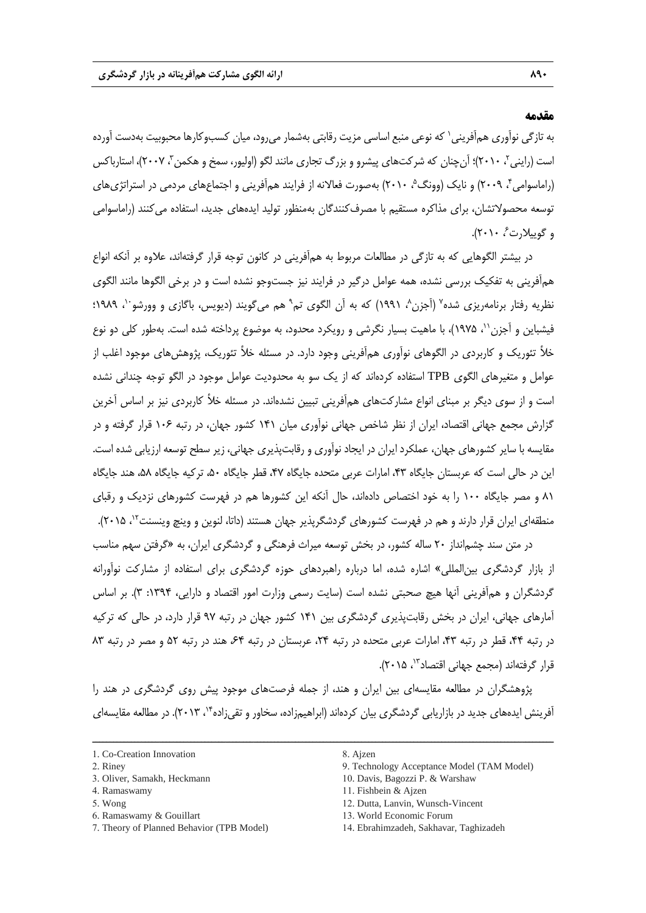## **مقدمه**

به تازگی نوآوری همأفرینی` که نوعی منبع اساسی مزیت رقابتی بهشمار میرود، میان کسبوکارها محبوبیت بهدست آورده است (راینی۲۰۱۰)؛ آنچنان که شرکتهای پیشرو و بزرگ تجاری مانند لگو (اولیور، سمخ و هکمن ۳ ، ۲۰۰۷)، استارباکس (راماسوامی۴، ۲۰۰۹) و نایک (وونگ $\cdot$  ۲۰۱۰) بهصورت فعالانه از فرایند همآفرینی و اجتماعهای مردمی در استراتژیهای توسعه محصوالتشان، برای مذاکره مستقیم با مصرفکنندگان بهمنظور تولید ایدههای جدید، استفاده میکنند )راماسوامی و گوییلارت <sup>۶</sup>، ۲۰۱۰).

در بیشتر الگوهایی که به تازگی در مطالعات مربوط به همآفرینی در کانون توجه قرار گرفتهاند، عالوه بر آنکه انواع همآفرینی به تفکیک بررسی نشده، همه عوامل درگیر در فرایند نیز جستوجو نشده است و در برخی الگوها مانند الگوی نظریه رفتار برنامهریزی شده<sup>۷</sup> (اَجزن^، ۱۹۹۱) که به اَن الگوی تم<sup>۹</sup> هم میگویند (دیویس، باگازی و وورشو<sup>۱۰</sup>، ۱۹۸۹؛ فیشباین و آجزن ``، ۱۹۷۵)، با ماهیت بسیار نگرشی و رویکرد محدود، به موضوع پرداخته شده است. بهطور کلی دو نوع خأل تئوریک و کاربردی در الگوهای نوآوری همآفرینی وجود دارد. در مسئله خأل تئوریک، پژوهشهای موجود اغلب از عوامل و متغیرهای الگوی TPB استفاده کردهاند که از یک سو به محدودیت عوامل موجود در الگو توجه چندانی نشده است و از سوی دیگر بر مبنای انواع مشارکتهای همآفرینی تبیین نشدهاند. در مسئله خأل کاربردی نیز بر اساس آخرین گزارش مجمع جهانی اقتصاد، ایران از نظر شاخص جهانی نوآوری میان 747 کشور جهان، در رتبه 711 قرار گرفته و در مقایسه با سایر کشورهای جهان، عملکرد ایران در ایجاد نوآوری و رقابتپذیری جهانی، زیر سطح توسعه ارزیابی شده است. این در حالی است که عربستان جایگاه ،49 امارات عربی متحده جایگاه ،41 قطر جایگاه ،11 ترکیه جایگاه ،18 هند جایگاه 87 و مصر جایگاه 711 را به خود اختصاص دادهاند، حال آنکه این کشورها هم در فهرست کشورهای نزدیک و رقبای منطقهای ایران قرار دارند و هم در فهرست کشورهای گردشگرپذیر جهان هستند (داتا، لنوین و وینچ وینسنت<sup>۱۲</sup>، ۲۰۱۵).

در متن سند چشمانداز 21 ساله کشور، در بخش توسعه میراث فرهنگی و گردشگری ایران، به »گرفتن سهم مناسب از بازار گردشگری بینالمللی« اشاره شده، اما درباره راهبردهای حوزه گردشگری برای استفاده از مشارکت نوآورانه گردشگران و همآفرینی آنها هیچ صحبتی نشده است (سایت رسمی وزارت امور اقتصاد و دارایی، ۱۳۹۴: ۳). بر اساس آمارهای جهانی، ایران در بخش رقابتپذیری گردشگری بین 747 کشور جهان در رتبه 31 قرار دارد، در حالی که ترکیه در رتبه ۴۴، قطر در رتبه ۴۳، امارات عربی متحده در رتبه ۲۴، عربستان در رتبه ۶۴، هند در رتبه ۵۲ و مصر در رتبه ۸۳ قرار گرفتهاند (مجمع جهانی اقتصاد<sup>۱۳</sup>، ۲۰۱۵).

پژوهشگران در مطالعه مقایسهای بین ایران و هند، از جمله فرصتهای موجود پیش روی گردشگری در هند را آفرینش ایدههای جدید در بازاریابی گردشگری بیان کردهاند (ابراهیمزاده، سخاور و تقیزاده"٬ ۲۰۱۳). در مطالعه مقایسهای

- 3. Oliver, Samakh, Heckmann
- 4. Ramaswamy
- 5. Wong
- 6. Ramaswamy & Gouillart
- 7. Theory of Planned Behavior (TPB Model)
- 9. Technology Acceptance Model (TAM Model)
- 10. Davis, Bagozzi P. & Warshaw
- 11. Fishbein & Ajzen
- 12. Dutta, Lanvin, Wunsch-Vincent
- 13. World Economic Forum
- 14. Ebrahimzadeh, Sakhavar, Taghizadeh

<sup>1.</sup> Co-Creation Innovation

<sup>2.</sup> Riney

<sup>8.</sup> Ajzen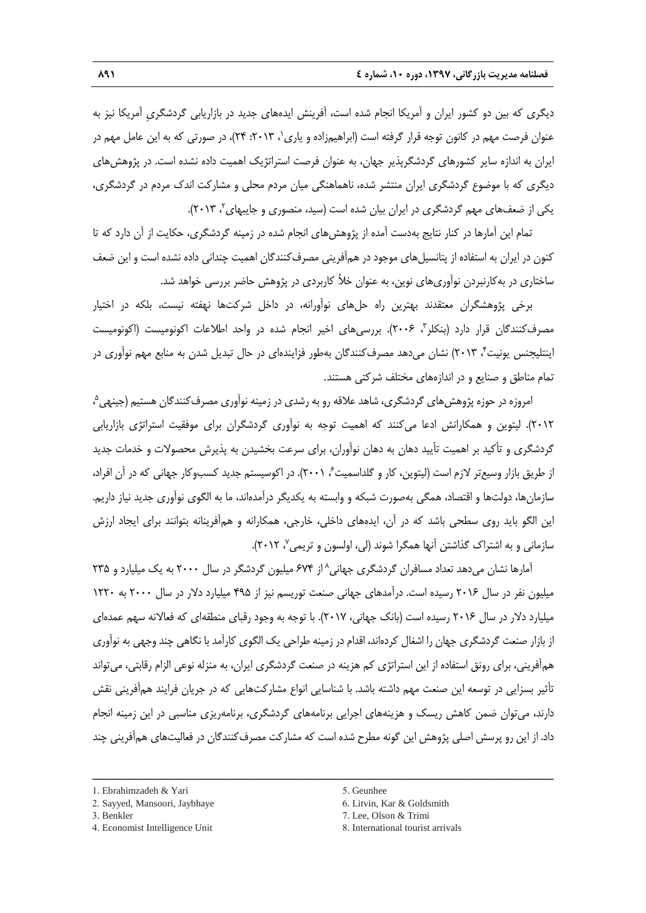دیگری که بین دو کشور ایران و آمریکا انجام شده است، آفرینش ایدههای جدید در بازاریابی گردشگریِ آمریکا نیز به عنوان فرصت مهم در کانون توجه قرار گرفته است (ابراهیمزاده و یاری٬ ۱۳۰۱۳: ۲۴)، در صورتی که به این عامل مهم در ایران به اندازه سایر کشورهای گردشگرپذیر جهان، به عنوان فرصت استراتژیک اهمیت داده نشده است. در پژوهشهای دیگری که با موضوع گردشگری ایران منتشر شده، ناهماهنگی میان مردم محلی و مشارکت اندک مردم در گردشگری، یکی از ضعفهای مهم گردشگری در ایران بیان شده است (سید، منصوری و جایبهای<sup>۲</sup>، ۲۰۱۳).

تمام این آمارها در کنار نتایج بهدست آمده از پژوهشهای انجام شده در زمینه گردشگری، حکایت از آن دارد که تا کنون در ایران به استفاده از پتانسیلهای موجود در همآفرینی مصرفکنندگان اهمیت چندانی داده نشده است و این ضعف ساختاری در بهکارنبردن نوآوریهای نوین، به عنوان خأل کاربردی در پژوهش حاضر بررسی خواهد شد.

برخی پژوهشگران معتقدند بهترین راه حلهای نوآورانه، در داخل شرکتها نهفته نیست، بلکه در اختیار مصرفکنندگان قرار دارد (بنکلر۳، ۲۰۰۶). بررسیهای اخیر انجام شده در واحد اطلاعات اکونومیست (اکونومیست 4 اینتلیجنس یونیت ، 2179( نشان میدهد مصرفکنندگان بهطور فزایندهای در حال تبدیل شدن به منابع مهم نوآوری در تمام مناطق و صنایع و در اندازههای مختلف شرکتی هستند.

امروزه در حوزه پژوهش های گردشگری، شاهد علاقه رو به رشدی در زمینه نوآوری مصرف *ک*نندگان هستیم (جینهی<sup>م</sup>، 2172(. لیتوین و همکارانش ادعا میکنند که اهمیت توجه به نوآوری گردشگران برای موفقیت استراتژی بازاریابی گردشگری و تأکید بر اهمیت تأیید دهان به دهان نوآوران، برای سرعت بخشیدن به پذیرش محصوالت و خدمات جدید از طریق بازار وسیعتر لازم است (لیتوین، کار و گلداسمیت ً، ۲۰۰۱). در اکوسیستم جدید کسبوکار جهانی که در آن افراد، سازمانها، دولتها و اقتصاد، همگی بهصورت شبکه و وابسته به یکدیگر درآمدهاند، ما به الگوی نوآوری جدید نیاز داریم. این الگو باید روی سطحی باشد که در آن، ایدههای داخلی، خارجی، همکارانه و همآفرینانه بتوانند برای ایجاد ارزش سازمانی و به اشتراک گذاشتن آنها همگرا شوند (لی، اولسون و تریمی<sup>۷</sup>، ۲۰۱۲).

أمارها نشان میدهد تعداد مسافران گردشگری جهانی^ از ۶۷۴ میلیون گردشگر در سال ۲۰۰۰ به یک میلیارد و ۲۳۵ میلیون نفر در سال 2171 رسیده است. درآمدهای جهانی صنعت توریسم نیز از 431 میلیارد دالر در سال 2111 به 7221 میلیارد دلار در سال ۲۰۱۶ رسیده است (بانک جهانی، ۲۰۱۷). با توجه به وجود رقبای منطقهای که فعالانه سهم عمدهای از بازار صنعت گردشگری جهان را اشغال کردهاند، اقدام در زمینه طراحی یک الگوی کارآمد با نگاهی چند وجهی به نوآوری همآفرینی، برای رونق استفاده از این استراتژی کم هزینه در صنعت گردشگری ایران، به منزله نوعی الزام رقابتی، میتواند تأثیر بسزایی در توسعه این صنعت مهم داشته باشد. با شناسایی انواع مشارکتهایی که در جریان فرایند همآفرینی نقش دارند، میتوان ضمن کاهش ریسک و هزینههای اجرایی برنامههای گردشگری، برنامهریزی مناسبی در این زمینه انجام داد. از این رو پرسش اصلی پژوهش این گونه مطرح شده است که مشارکت مصرفکنندگان در فعالیتهای همآفرینی چند

ــــــــــــــــــــــــــــــــــــــــــــــــــــــــــــــــــــــــــــــــــــــــــــــــــــــــــــــــــــــــــــــــــــ

- 3. Benkler
- 4. Economist Intelligence Unit

5. Geunhee

- 6. Litvin, Kar & Goldsmith
- 7. Lee, Olson & Trimi
- 8. International tourist arrivals

<sup>1.</sup> Ebrahimzadeh & Yari

<sup>2.</sup> Sayyed, Mansoori, Jaybhaye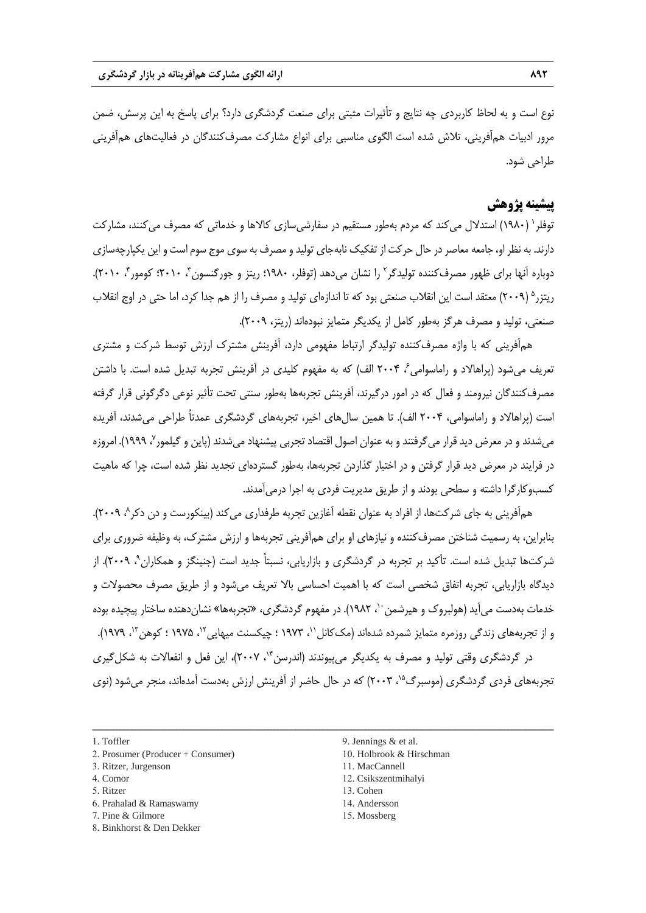نوع است و به لحاظ کاربردی چه نتایج و تأثیرات مثبتی برای صنعت گردشگری دارد؟ برای پاسخ به این پرسش، ضمن مرور ادبیات همآفرینی، تالش شده است الگوی مناسبی برای انواع مشارکت مصرفکنندگان در فعالیتهای همآفرینی طراحی شود.

## **پیشینه پژوهش**

توفلر ` (۱۹۸۰) استدلال میکند که مردم بهطور مستقیم در سفارشیسازی کالاها و خدماتی که مصرف میکنند، مشارکت دارند. به نظر او، جامعه معاصر در حال حرکت از تفکیک نابهجای تولید و مصرف به سوی موج سوم است و این یکپارچهسازی دوباره آنها برای ظهور مصرفکننده تولیدگر<sup>۲</sup> را نشان میدهد (توفلر، ۱۹۸۰؛ ریتز و جورگنسون<sup>۳</sup>، ۲۰۱۰؛ کومور<sup>۴</sup>، ۲۰۱۰). ریتزر<sup>ه</sup> (۲۰۰۹) معتقد است این انقلاب صنعتی بود که تا اندازهای تولید و مصرف را از هم جدا کرد، اما حتی در اوج انقلاب صنعتی، تولید و مصرف هرگز بهطور کامل از یکدیگر متمایز نبودهاند )ریتز، 2113(.

همآفرینی که با واژه مصرفکننده تولیدگر ارتباط مفهومی دارد، آفرینش مشترک ارزش توسط شرکت و مشتری تعریف می شود (پراهالاد و راماسوامی ً، ۲۰۰۴ الف) که به مفهوم کلیدی در آفرینش تجربه تبدیل شده است. با داشتن مصرفکنندگان نیرومند و فعال که در امور درگیرند، آفرینش تجربهها بهطور سنتی تحت تأثیر نوعی دگرگونی قرار گرفته است (پراهالاد و راماسوامی، ۲۰۰۴ الف). تا همین سال@ای اخیر، تجربههای گردشگری عمدتاً طراحی میشدند، آفریده میشدند و در معرض دید قرار میگرفتند و به عنوان اصول اقتصاد تجربی پیشنهاد میشدند (پاین و گیلمور<sup>۷</sup>، ۱۹۹۹). امروزه در فرایند در معرض دید قرار گرفتن و در اختیار گذاردن تجربهها، بهطور گستردهای تجدید نظر شده است، چرا که ماهیت کسبوکارگرا داشته و سطحی بودند و از طریق مدیریت فردی به اجرا درمیآمدند.

همآفرینی به جای شرکتها، از افراد به عنوان نقطه آغازین تجربه طرفداری میکند (بینکورست و دن دکر^، ۲۰۰۹). بنابراین، به رسمیت شناختن مصرفکننده و نیازهای او برای همآفرینی تجربهها و ارزش مشترک، به وظیفه ضروری برای شرکتها تبدیل شده است. تأکید بر تجربه در گردشگری و بازاریابی، نسبتاً جدید است (جنینگز و همکاران^، ۲۰۰۹). از دیدگاه بازاریابی، تجربه اتفاق شخصی است که با اهمیت احساسی باال تعریف میشود و از طریق مصرف محصوالت و خدمات بهدست می]ید (هولبروک و هیرشمن<sup>۰۰</sup>، ۱۹۸۲). در مفهوم گردشگری، «تجربهها» نشاندهنده ساختار پیچیده بوده و از تجربههای زندگی روزمره متمایز شمرده شدهاند (مککانل'`، ۱۹۷۳ ؛ چیکسنت میهایی<sup>۰۲</sup>، ۱۹۷۵ ؛ کوهن<sup>۱۳</sup>، ۱۹۷۹). در گردشگری وقتی تولید و مصرف به یکدیگر می پیوندند (اندرسن ۱٬ ۲۰۰۷)، این فعل و انفعالات به شکل گیری

تجربههای فردی گردشگری (موسبرگ<sup>۵</sup>٬ ۲۰۰۳) که در حال حاضر از آفرینش ارزش بهدست آمدهاند، منجر می *ش*ود (نوی

- 1. Toffler
- 2. Prosumer (Producer + Consumer)
- 3. Ritzer, Jurgenson
- 4. Comor
- 5. Ritzer
- 6. Prahalad & Ramaswamy
- 7. Pine & Gilmore
- 8. Binkhorst & Den Dekker
- 9. Jennings & et al.
- 10. Holbrook & Hirschman
- 11. MacCannell
- 12. Csikszentmihalyi
- 13. Cohen
- 14. Andersson
- 15. Mossberg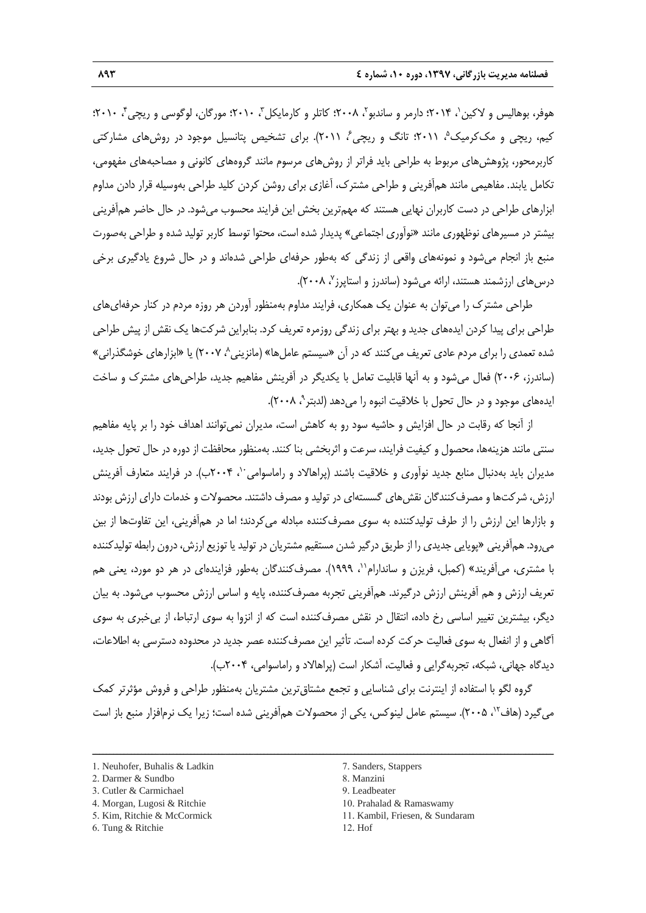هوفر، بوهالیس و لاکین`، ۲۰۱۴؛ دارمر و ساندبو`، ۲۰۰۸؛ کاتلر و کارمایکل'ّ، ۲۰۱۰؛ مورگان، لوگوسی و ریچی'ّ، ۲۰۱۰؛ کیم، ریچی و مککرمیک ؓ، ۲۰۱۱؛ تانگ و ریچی ؒ، ۲۰۱۱). برای تشخیص پتانسیل موجود در روشهای مشارکتی کاربرمحور، پژوهشهای مربوط به طراحی باید فراتر از روشهای مرسوم مانند گروههای کانونی و مصاحبههای مفهومی، تکامل یابند. مفاهیمی مانند همآفرینی و طراحی مشترک، آغازی برای روشن کردن کلید طراحی بهوسیله قرار دادن مداوم ابزارهای طراحی در دست کاربران نهایی هستند که مهمترین بخش این فرایند محسوب میشود. در حال حاضر همآفرینی بیشتر در مسیرهای نوظهوری مانند »نوآوری اجتماعی« پدیدار شده است، محتوا توسط کاربر تولید شده و طراحی بهصورت منبع باز انجام میشود و نمونههای واقعی از زندگی که بهطور حرفهای طراحی شدهاند و در حال شروع یادگیری برخی درسهای ارزشمند هستند، ارائه میشود (ساندرز و استاپرز<sup>۷</sup>، ۲۰۰۸).

طراحی مشترک را میتوان به عنوان یک همکاری، فرایند مداوم بهمنظور آوردن هر روزه مردم در کنار حرفهایهای طراحی برای پیدا کردن ایدههای جدید و بهتر برای زندگی روزمره تعریف کرد. بنابراین شرکتها یک نقش از پیش طراحی شده تعمدی را برای مردم عادی تعریف می کنند که در آن «سیستم عامل ها» (مانزینی^، ۲۰۰۷) یا «ابزارهای خوشگذرانی» )ساندرز، 2111( فعال میشود و به آنها قابلیت تعامل با یکدیگر در آفرینش مفاهیم جدید، طراحیهای مشترک و ساخت ً یدههای موجود و در حال تحول با خلاقیت انبوه را میدهد (لدبتر <sup>۹</sup>، ۲۰۰۸).

از آنجا که رقابت در حال افزایش و حاشیه سود رو به کاهش است، مدیران نمیتوانند اهداف خود را بر پایه مفاهیم سنتی مانند هزینهها، محصول و کیفیت فرایند، سرعت و اثربخشی بنا کنند. بهمنظور محافظت از دوره در حال تحول جدید، مدیران باید بهدنبال منابع جدید نوآوری و خلاقیت باشند (پراهالاد و راماسوامی ۱٬۰۴۰٬۰۰۰). در فرایند متعارف آفرینش ارزش، شرکتها و مصرفکنندگان نقشهای گسستهای در تولید و مصرف داشتند. محصوالت و خدمات دارای ارزش بودند و بازارها این ارزش را از طرف تولیدکننده به سوی مصرفکننده مبادله میکردند؛ اما در همآفرینی، این تفاوتها از بین میرود. همآفرینی «پویایی جدیدی را از طریق درگیر شدن مستقیم مشتریان در تولید یا توزیع ارزش، درون رابطه تولیدکننده با مشتری، می آفریند» (کمبل، فریزن و ساندارام``، ۱۹۹۹). مصرفکنندگان بهطور فزایندهای در هر دو مورد، یعنی هم تعریف ارزش و هم آفرینش ارزش درگیرند. همآفرینی تجربه مصرفکننده، پایه و اساس ارزش محسوب میشود. به بیان دیگر، بیشترین تغییر اساسی رخ داده، انتقال در نقش مصرفکننده است که از انزوا به سوی ارتباط، از بیخبری به سوی آگاهی و از انفعال به سوی فعالیت حرکت کرده است. تأثیر این مصرفکننده عصر جدید در محدوده دسترسی به اطالعات، دیدگاه جهانی، شبکه، تجربهگرایی و فعالیت، آشکار است (پراهالاد و راماسوامی، ۲۰۰۴ب).

گروه لگو با استفاده از اینترنت برای شناسایی و تجمع مشتاقترین مشتریان بهمنظور طراحی و فروش مؤثرتر کمک میگیرد (هاف<sup>۱۲</sup>، ۲۰۰۵). سیستم عامل لینوکس، یکی از محصولات همآفرینی شده است؛ زیرا یک نرمافزار منبع باز است

- 3. Cutler & Carmichael
- 4. Morgan, Lugosi & Ritchie
- 5. Kim, Ritchie & McCormick
- 7. Sanders, Stappers
- 8. Manzini
- 9. Leadbeater
- 10. Prahalad & Ramaswamy
- 11. Kambil, Friesen, & Sundaram
- 12. Hof

<sup>1.</sup> Neuhofer, Buhalis & Ladkin

<sup>2.</sup> Darmer & Sundbo

<sup>6.</sup> Tung & Ritchie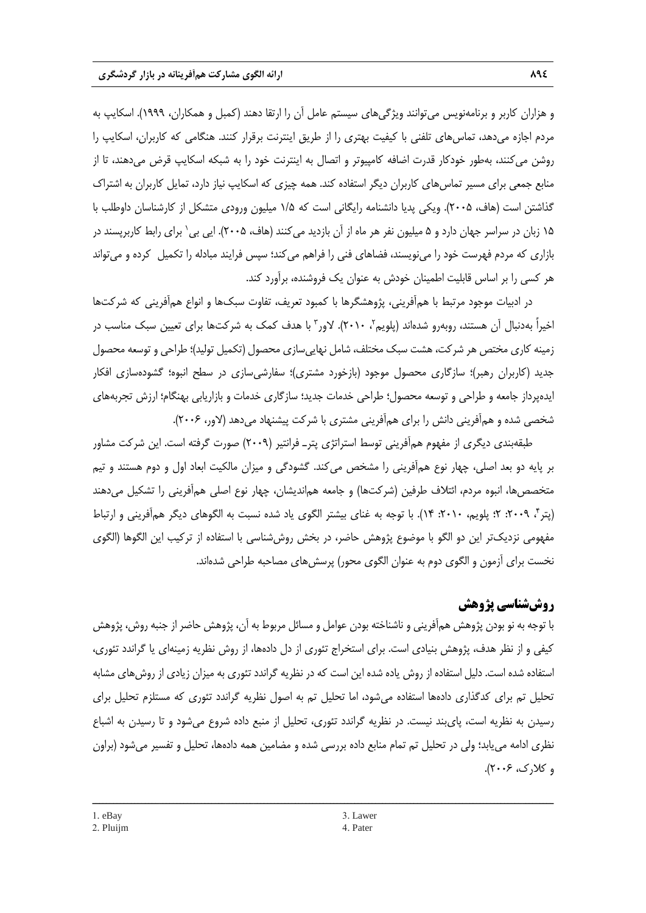و هزاران کاربر و برنامهنویس میتوانند ویژگیهای سیستم عامل آن را ارتقا دهند )کمبل و همکاران، 7333(. اسکایپ به مردم اجازه میدهد، تماسهای تلفنی با کیفیت بهتری را از طریق اینترنت برقرار کنند. هنگامی که کاربران، اسکایپ را روشن میکنند، بهطور خودکار قدرت اضافه کامپیوتر و اتصال به اینترنت خود را به شبکه اسکایپ قرض میدهند، تا از منابع جمعی برای مسیر تماس های کاربران دیگر استفاده کند. همه چیزی که اسکایپ نیاز دارد، تمایل کاربران به اشتراک گذاشتن است (هاف، ۲۰۰۵). ویکی پدیا دانشنامه رایگانی است که ۱/۵ میلیون ورودی متشکل از کارشناسان داوطلب با ۱۵ زبان در سراسر جهان دارد و ۵ میلیون نفر هر ماه از آن بازدید میکنند (هاف، ۲۰۰۵). ایی بی' برای رابط کاربرپسند در بازاری که مردم فهرست خود را مینویسند، فضاهای فنی را فراهم میکند؛ سپس فرایند مبادله را تکمیل کرده و میتواند هر کسی را بر اساس قابلیت اطمینان خودش به عنوان یک فروشنده، برآورد کند.

در ادبیات موجود مرتبط با همآفرینی، پژوهشگرها با کمبود تعریف، تفاوت سبکها و انواع همآفرینی که شرکتها خیراً بهدنبال آن هستند، روبهرو شدهاند (پلویم۲۰۱۰ ۰٫ لاور۲ با هدف کمک به شرکتها برای تعیین سبک مناسب در زمینه کاری مختص هر شرکت، هشت سبک مختلف، شامل نهاییسازی محصول )تکمیل تولید(؛ طراحی و توسعه محصول جدید (کاربران رهبر)؛ سازگاری محصول موجود (بازخورد مشتری)؛ سفارشیسازی در سطح انبوه؛ گشودهسازی افکار ایدهپرداز جامعه و طراحی و توسعه محصول؛ طراحی خدمات جدید؛ سازگاری خدمات و بازاریابی بهنگام؛ ارزش تجربههای شخصی شده و همآفرینی دانش را برای همآفرینی مشتری با شرکت پیشنهاد میدهد (لاور، ۲۰۰۶).

طبقهبندی دیگری از مفهوم همآفرینی توسط استراتژی پترـ فرانتیر )2113( صورت گرفته است. این شرکت مشاور بر پایه دو بعد اصلی، چهار نوع همآفرینی را مشخص میکند. گشودگی و میزان مالکیت ابعاد اول و دوم هستند و تیم متخصصها، انبوه مردم، ائتلاف طرفین (شرکتها) و جامعه هماندیشان، چهار نوع اصلی همآفرینی را تشکیل میدهند (پتر۴، ۲۰۰۹: ۲؛ پلویم، ۲۰۱۰: ۱۴). با توجه به غنای بیشتر الگوی یاد شده نسبت به الگوهای دیگر همآفرینی و ارتباط مفهومی نزدیکتر این دو الگو با موضوع پژوهش حاضر، در بخش روششناسی با استفاده از ترکیب این الگوها )الگوی نخست برای آزمون و الگوی دوم به عنوان الگوی محور( پرسشهای مصاحبه طراحی شدهاند.

# **روششناسی پژوهش**

با توجه به نو بودن پژوهش همآفرینی و ناشناخته بودن عوامل و مسائل مربوط به آن، پژوهش حاضر از جنبه روش، پژوهش کیفی و از نظر هدف، پژوهش بنیادی است. برای استخراج تئوری از دل دادهها، از روش نظریه زمینهای یا گراندد تئوری، استفاده شده است. دلیل استفاده از روش یاده شده این است که در نظریه گراندد تئوری به میزان زیادی از روشهای مشابه تحلیل تم برای کدگذاری دادهها استفاده میشود، اما تحلیل تم به اصول نظریه گراندد تئوری که مستلزم تحلیل برای رسیدن به نظریه است، پایبند نیست. در نظریه گراندد تئوری، تحلیل از منبع داده شروع میشود و تا رسیدن به اشباع نظری ادامه مییابد؛ ولی در تحلیل تم تمام منابع داده بررسی شده و مضامین همه دادهها، تحلیل و تفسیر میشود )براون  $(5.32, 7.7)$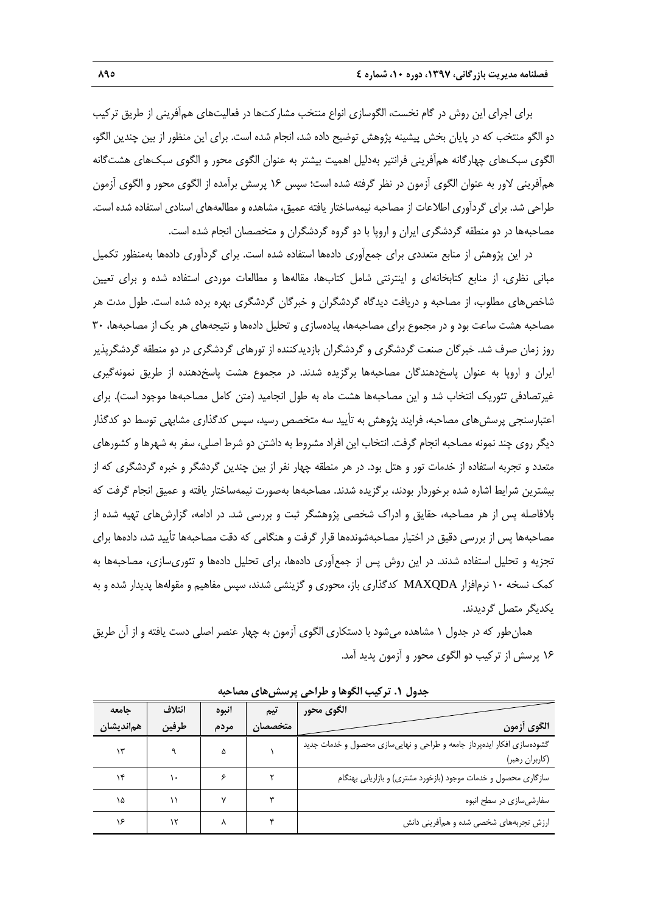برای اجرای این روش در گام نخست، الگوسازی انواع منتخب مشارکتها در فعالیتهای همآفرینی از طریق ترکیب دو الگو منتخب که در پایان بخش پیشینه پژوهش توضیح داده شد، انجام شده است. برای این منظور از بین چندین الگو، الگوی سبکهای چهارگانه همآفرینی فرانتیر بهدلیل اهمیت بیشتر به عنوان الگوی محور و الگوی سبکهای هشتگانه همآفرینی الور به عنوان الگوی آزمون در نظر گرفته شده است؛ سپس 71 پرسش برآمده از الگوی محور و الگوی آزمون طراحی شد. برای گردآوری اطالعات از مصاحبه نیمهساختار یافته عمیق، مشاهده و مطالعههای اسنادی استفاده شده است. مصاحبهها در دو منطقه گردشگری ایران و اروپا با دو گروه گردشگران و متخصصان انجام شده است.

در این پژوهش از منابع متعددی برای جمعآوری دادهها استفاده شده است. برای گردآوری دادهها بهمنظور تکمیل مبانی نظری، از منابع کتابخانهای و اینترنتی شامل کتابها، مقالهها و مطالعات موردی استفاده شده و برای تعیین شاخصهای مطلوب، از مصاحبه و دریافت دیدگاه گردشگران و خبرگان گردشگری بهره برده شده است. طول مدت هر مصاحبه هشت ساعت بود و در مجموع برای مصاحبهها، پیادهسازی و تحلیل دادهها و نتیجههای هر یک از مصاحبهها، 91 روز زمان صرف شد. خبرگان صنعت گردشگری و گردشگران بازدیدکننده از تورهای گردشگری در دو منطقه گردشگرپذیر ایران و اروپا به عنوان پاسخدهندگان مصاحبهها برگزیده شدند. در مجموع هشت پاسخدهنده از طریق نمونهگیری غیرتصادفی تئوریک انتخاب شد و این مصاحبهها هشت ماه به طول انجامید (متن کامل مصاحبهها موجود است). برای اعتبارسنجی پرسشهای مصاحبه، فرایند پژوهش به تأیید سه متخصص رسید، سپس کدگذاری مشابهی توسط دو کدگذار دیگر روی چند نمونه مصاحبه انجام گرفت. انتخاب این افراد مشروط به داشتن دو شرط اصلی، سفر به شهرها و کشورهای متعدد و تجربه استفاده از خدمات تور و هتل بود. در هر منطقه چهار نفر از بین چندین گردشگر و خبره گردشگری که از بیشترین شرایط اشاره شده برخوردار بودند، برگزیده شدند. مصاحبهها بهصورت نیمهساختار یافته و عمیق انجام گرفت که بالفاصله پس از هر مصاحبه، حقایق و ادراک شخصی پژوهشگر ثبت و بررسی شد. در ادامه، گزارشهای تهیه شده از مصاحبهها پس از بررسی دقیق در اختیار مصاحبهشوندهها قرار گرفت و هنگامی که دقت مصاحبهها تأیید شد، دادهها برای تجزیه و تحلیل استفاده شدند. در این روش پس از جمعآوری دادهها، برای تحلیل دادهها و تئوریسازی، مصاحبهها به کمک نسخه 71 نرمافزار MAXQDA کدگذاری باز، محوری و گزینشی شدند، سپس مفاهیم و مقولهها پدیدار شده و به یکدیگر متصل گردیدند.

همانطور که در جدول 7 مشاهده میشود با دستکاری الگوی آزمون به چهار عنصر اصلی دست یافته و از آن طریق 71 پرسش از ترکیب دو الگوی محور و آزمون پدید آمد.

| حامعه     | ائتلاف | انبوه | تیم     | الگوی محور                                                             |
|-----------|--------|-------|---------|------------------------------------------------------------------------|
| همانديشان | طرفين  | مردم  | متخصصان | الگوى أزمون                                                            |
| ۱۳        |        |       |         | گشودهسازی افکار ایدهپرداز جامعه و طراحی و نهاییسازی محصول و خدمات جدید |
|           |        |       |         | (كاربران رهبر)                                                         |
| ۱۴        |        |       |         | سازگاری محصول و خدمات موجود (بازخورد مشتری) و بازاریابی بهنگام         |
| ۱۵        |        |       |         | سفارشی سازی در سطح انبوه                                               |
| ۱۶        |        |       |         | ارزش تجربههای شخصی شده و همآفرینی دانش                                 |

**جدول .8 ترکيب الگوها و طراحي پرسشهای مصاحبه**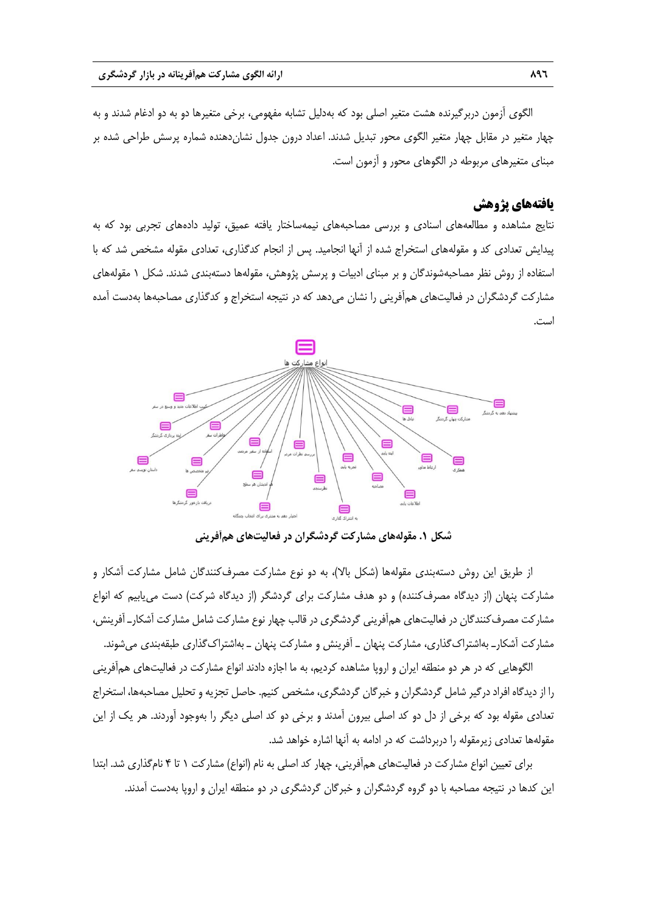الگوی آزمون دربرگیرنده هشت متغیر اصلی بود که بهدلیل تشابه مفهومی، برخی متغیرها دو به دو ادغام شدند و به چهار متغیر در مقابل چهار متغیر الگوی محور تبدیل شدند. اعداد درون جدول نشاندهنده شماره پرسش طراحی شده بر مبنای متغیرهای مربوطه در الگوهای محور و آزمون است.

## **یافتههای پژوهش**

نتایج مشاهده و مطالعههای اسنادی و بررسی مصاحبههای نیمهساختار یافته عمیق، تولید دادههای تجربی بود که به پیدایش تعدادی کد و مقولههای استخراج شده از آنها انجامید. پس از انجام کدگذاری، تعدادی مقوله مشخص شد که با استفاده از روش نظر مصاحبهشوندگان و بر مبنای ادبیات و پرسش پژوهش، مقولهها دستهبندی شدند. شکل 7 مقولههای مشارکت گردشگران در فعالیتهای همآفرینی را نشان میدهد که در نتیجه استخراج و کدگذاری مصاحبهها بهدست آمده است.



**شکل .8 مقولههای مشارکت گردشگران در فعاليتهای همآفريني**

از طریق این روش دستهبندی مقولهها (شکل بالا)، به دو نوع مشارکت مصرفکنندگان شامل مشارکت آشکار و مشارکت پنهان (از دیدگاه مصرفکننده) و دو هدف مشارکت برای گردشگر (از دیدگاه شرکت) دست می یابیم که انواع مشارکت مصرفکنندگان در فعالیتهای همآفرینی گردشگری در قالب چهار نوع مشارکت شامل مشارکت آشکارـ آفرینش، مشارکت آشکارـ بهاشتراکگذاری، مشارکت پنهان ـ آفرینش و مشارکت پنهان ـ بهاشتراکگذاری طبقهبندی میشوند.

الگوهایی که در هر دو منطقه ایران و اروپا مشاهده کردیم، به ما اجازه دادند انواع مشارکت در فعالیتهای همآفرینی را از دیدگاه افراد درگیر شامل گردشگران و خبرگان گردشگری، مشخص کنیم. حاصل تجزیه و تحلیل مصاحبهها، استخراج تعدادی مقوله بود که برخی از دل دو کد اصلی بیرون آمدند و برخی دو کد اصلی دیگر را بهوجود آوردند. هر یک از این مقولهها تعدادی زیرمقوله را دربرداشت که در ادامه به آنها اشاره خواهد شد.

برای تعیین انواع مشارکت در فعالیتهای همآفرینی، چهار کد اصلی به نام (انواع) مشارکت ۱ تا ۴ نامگذاری شد. ابتدا این کدها در نتیجه مصاحبه با دو گروه گردشگران و خبرگان گردشگری در دو منطقه ایران و اروپا بهدست آمدند.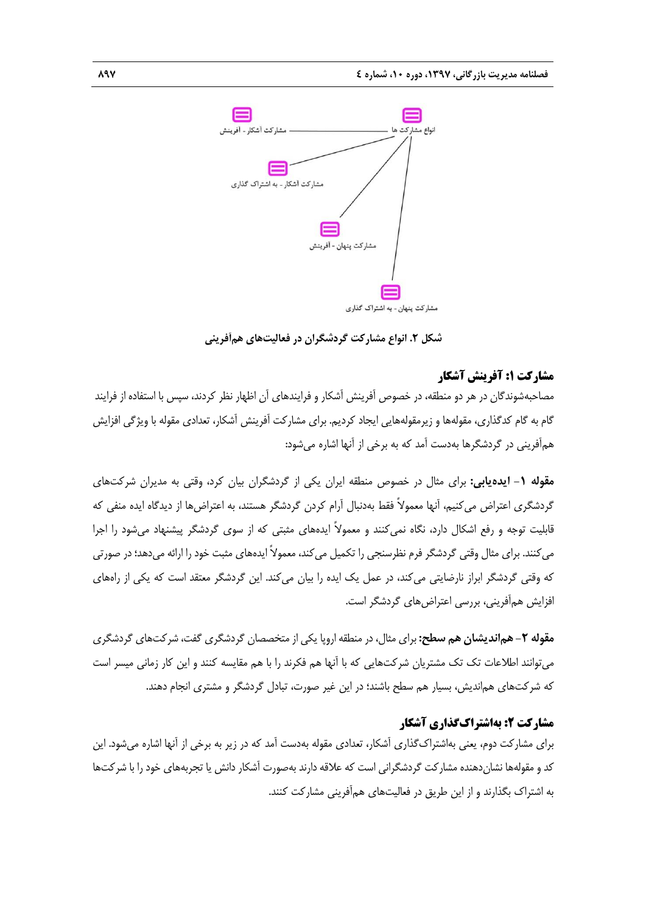

**شکل .8 انواع مشارکت گردشگران در فعاليتهای همآفريني**

## **مشارکت :1 آفرینش آشکار**

مصاحبهشوندگان در هر دو منطقه، در خصوص آفرینش آشکار و فرایندهای آن اظهار نظر کردند، سپس با استفاده از فرایند گام به گام کدگذاری، مقولهها و زیرمقولههایی ایجاد کردیم. برای مشارکت آفرینش آشکار، تعدادی مقوله با ویژگی افزایش همآفرینی در گردشگرها بهدست آمد که به برخی از آنها اشاره میشود:

**مقوله -8 ايدهيابي:** برای مثال در خصوص منطقه ایران یکی از گردشگران بیان کرد، وقتی به مدیران شرکتهای گردشگری اعتراض میکنیم، آنها معموالً فقط بهدنبال آرام کردن گردشگر هستند، به اعتراضها از دیدگاه ایده منفی که قابلیت توجه و رفع اشکال دارد، نگاه نمیکنند و معموالً ایدههای مثبتی که از سوی گردشگر پیشنهاد میشود را اجرا میکنند. برای مثال وقتی گردشگر فرم نظرسنجی را تکمیل میکند، معموالً ایدههای مثبت خود را ارائه میدهد؛ در صورتی که وقتی گردشگر ابراز نارضایتی میکند، در عمل یک ایده را بیان میکند. این گردشگر معتقد است که یکی از راههای افزایش همآفرینی، بررسی اعتراضهای گردشگر است.

**مقوله -8 همانديشان هم سطح:** برای مثال، در منطقه اروپا یکی از متخصصان گردشگری گفت، شرکتهای گردشگری میتوانند اطالعات تک تک مشتریان شرکتهایی که با آنها هم فکرند را با هم مقایسه کنند و این کار زمانی میسر است که شرکتهای هماندیش، بسیار هم سطح باشند؛ در این غیر صورت، تبادل گردشگر و مشتری انجام دهند.

## **مشارکت :2 بهاشتراکگذاری آشکار**

برای مشارکت دوم، یعنی بهاشتراکگذاری آشکار، تعدادی مقوله بهدست آمد که در زیر به برخی از آنها اشاره میشود. این کد و مقولهها نشاندهنده مشارکت گردشگرانی است که عالقه دارند بهصورت آشکار دانش یا تجربههای خود را با شرکتها به اشتراک بگذارند و از این طریق در فعالیتهای همآفرینی مشارکت کنند.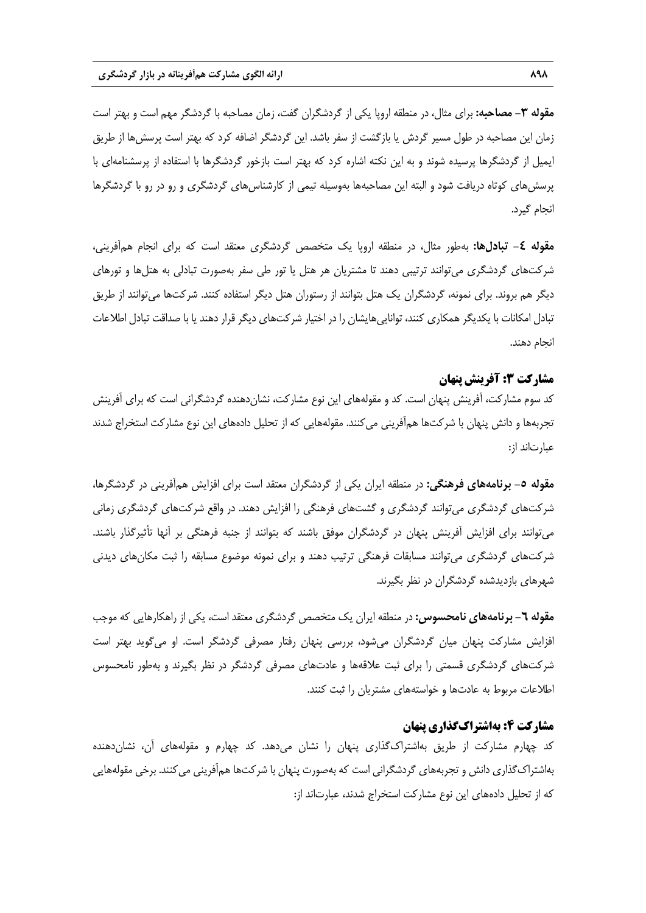**مقوله -9 مصاحبه:** برای مثال، در منطقه اروپا یکی از گردشگران گفت، زمان مصاحبه با گردشگر مهم است و بهتر است زمان این مصاحبه در طول مسیر گردش یا بازگشت از سفر باشد. این گردشگر اضافه کرد که بهتر است پرسشها از طریق ایمیل از گردشگرها پرسیده شوند و به این نکته اشاره کرد که بهتر است بازخور گردشگرها با استفاده از پرسشنامهای با پرسشهای کوتاه دریافت شود و البته این مصاحبهها بهوسیله تیمی از کارشناسهای گردشگری و رو در رو با گردشگرها انجام گیرد.

**مقوله -4 تبادلها:** بهطور مثال، در منطقه اروپا یک متخصص گردشگری معتقد است که برای انجام همآفرینی، شرکتهای گردشگری میتوانند ترتیبی دهند تا مشتریان هر هتل یا تور طی سفر بهصورت تبادلی به هتلها و تورهای دیگر هم بروند. برای نمونه، گردشگران یک هتل بتوانند از رستوران هتل دیگر استفاده کنند. شرکتها میتوانند از طریق تبادل امکانات با یکدیگر همکاری کنند، تواناییهایشان را در اختیار شرکتهای دیگر قرار دهند یا با صداقت تبادل اطلاعات انجام دهند.

## **مشارکت :3 آفرینش پنهان**

کد سوم مشارکت، آفرینش پنهان است. کد و مقولههای این نوع مشارکت، نشاندهنده گردشگرانی است که برای آفرینش تجربهها و دانش پنهان با شرکتها همآفرینی میکنند. مقولههایی که از تحلیل دادههای این نوع مشارکت استخراج شدند عبارتاند از:

**مقوله -8 برنامههای فرهنگي:** در منطقه ایران یکی از گردشگران معتقد است برای افزایش همآفرینی در گردشگرها، شرکتهای گردشگری میتوانند گردشگری و گشتهای فرهنگی را افزایش دهند. در واقع شرکتهای گردشگری زمانی میتوانند برای افزایش آفرینش پنهان در گردشگران موفق باشند که بتوانند از جنبه فرهنگی بر آنها تأثیرگذار باشند. شرکتهای گردشگری میتوانند مسابقات فرهنگی ترتیب دهند و برای نمونه موضوع مسابقه را ثبت مکانهای دیدنی شهرهای بازدیدشده گردشگران در نظر بگیرند.

**مقوله -8 برنامههای نامحسوس:** در منطقه ایران یک متخصص گردشگری معتقد است، یکی از راهکارهایی که موجب افزایش مشارکت پنهان میان گردشگران میشود، بررسی پنهان رفتار مصرفی گردشگر است. او میگوید بهتر است شرکتهای گردشگری قسمتی را برای ثبت عالقهها و عادتهای مصرفی گردشگر در نظر بگیرند و بهطور نامحسوس اطالعات مربوط به عادتها و خواستههای مشتریان را ثبت کنند.

## **مشارکت :4 بهاشتراکگذاری پنهان**

کد چهارم مشارکت از طریق بهاشتراکگذاری پنهان را نشان میدهد. کد چهارم و مقولههای آن، نشاندهنده بهاشتراکگذاری دانش و تجربههای گردشگرانی است که بهصورت پنهان با شرکتها همآفرینی میکنند. برخی مقولههایی که از تحلیل دادههای این نوع مشارکت استخراج شدند، عبارتاند از: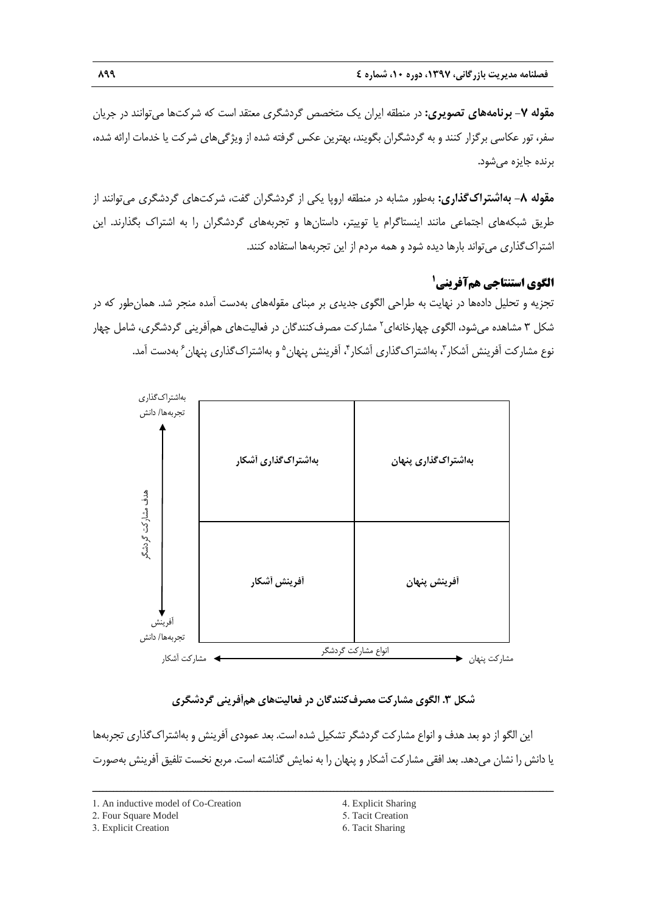**مقوله -1 برنامههای تصويری:** در منطقه ایران یک متخصص گردشگری معتقد است که شرکتها میتوانند در جریان سفر، تور عکاسی برگزار کنند و به گردشگران بگویند، بهترین عکس گرفته شده از ویژگیهای شرکت یا خدمات ارائه شده، برنده جایزه میشود.

**مقوله -0 بهاشتراکگذاری:** بهطور مشابه در منطقه اروپا یکی از گردشگران گفت، شرکتهای گردشگری میتوانند از طریق شبکههای اجتماعی مانند اینستاگرام یا توییتر، داستانها و تجربههای گردشگران را به اشتراک بگذارند. این اشتراکگذاری میتواند بارها دیده شود و همه مردم از این تجربهها استفاده کنند.

# **1 الگوی استنتاجی همآفرینی**

تجزیه و تحلیل دادهها در نهایت به طراحی الگوی جدیدی بر مبنای مقولههای بهدست آمده منجر شد. همانطور که در شکل ۳ مشاهده میشود، الگوی چهارخانهای<sup>۲</sup> مشارکت مصرف کنندگان در فعالیتهای همآفرینی گردشگری، شامل چهار نوع مشارکت اَفرینش اَشکار ّ، بهاشتراکگذاری اَشکار ٔ، اَفرینش پنهان<sup>۵</sup> و بهاشتراکگذاری پنهان ٔ بهدست اَمد.



# **شکل .9 الگوی مشارکت مصرفکنندگان در فعاليتهای همآفريني گردشگری**

این الگو از دو بعد هدف و انواع مشارکت گردشگر تشکیل شده است. بعد عمودی آفرینش و بهاشتراکگذاری تجربهها یا دانش را نشان میدهد. بعد افقی مشارکت آشکار و پنهان را به نمایش گذاشته است. مربع نخست تلفیق آفرینش بهصورت

ــــــــــــــــــــــــــــــــــــــــــــــــــــــــــــــــــــــــــــــــــــــــــــــــــــــــــــــــــــــــــــــــــــ

2. Four Square Model

<sup>1.</sup> An inductive model of Co-Creation

<sup>3.</sup> Explicit Creation

<sup>4.</sup> Explicit Sharing

<sup>5.</sup> Tacit Creation

<sup>6.</sup> Tacit Sharing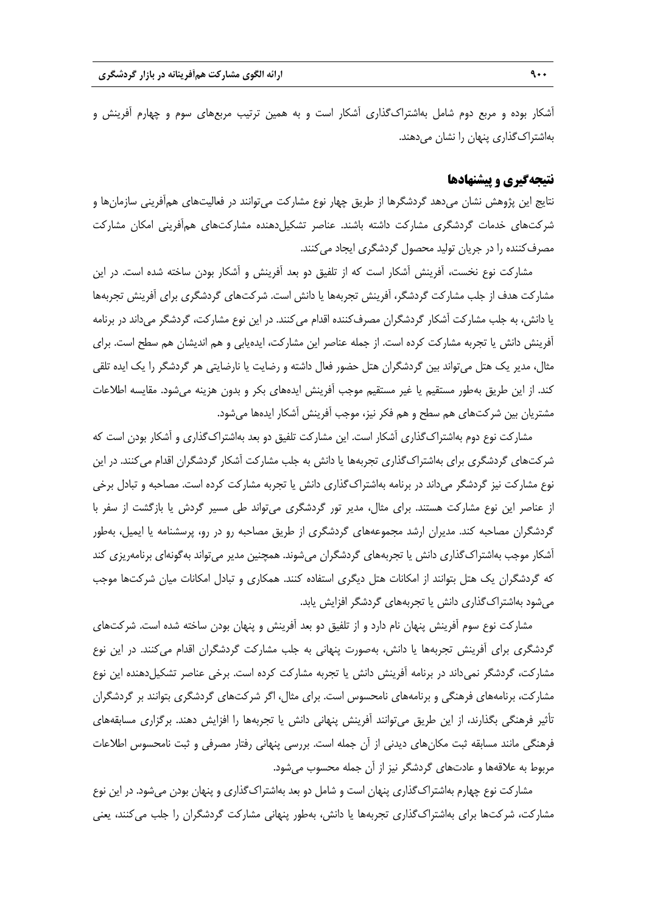آشکار بوده و مربع دوم شامل بهاشتراکگذاری آشکار است و به همین ترتیب مربعهای سوم و چهارم آفرینش و بهاشتراکگذاری پنهان را نشان میدهند.

## **نتیجهگیری و پیشنهادها**

نتایج این پژوهش نشان میدهد گردشگرها از طریق چهار نوع مشارکت میتوانند در فعالیتهای همآفرینی سازمانها و شرکتهای خدمات گردشگری مشارکت داشته باشند. عناصر تشکیلدهنده مشارکتهای همآفرینی امکان مشارکت مصرفکننده را در جریان تولید محصول گردشگری ایجاد میکنند.

مشارکت نوع نخست، آفرینش آشکار است که از تلفیق دو بعد آفرینش و آشکار بودن ساخته شده است. در این مشارکت هدف از جلب مشارکت گردشگر، آفرینش تجربهها یا دانش است. شرکتهای گردشگری برای آفرینش تجربهها یا دانش، به جلب مشارکت آشکار گردشگران مصرفکننده اقدام میکنند. در این نوع مشارکت، گردشگر میداند در برنامه آفرینش دانش یا تجربه مشارکت کرده است. از جمله عناصر این مشارکت، ایدهیابی و هم اندیشان هم سطح است. برای مثال، مدیر یک هتل میتواند بین گردشگران هتل حضور فعال داشته و رضایت یا نارضایتی هر گردشگر را یک ایده تلقی کند. از این طریق بهطور مستقیم یا غیر مستقیم موجب آفرینش ایدههای بکر و بدون هزینه میشود. مقایسه اطالعات مشتریان بین شرکتهای هم سطح و هم فکر نیز، موجب آفرینش آشکار ایدهها میشود.

مشارکت نوع دوم بهاشتراکگذاری آشکار است. این مشارکت تلفیق دو بعد بهاشتراکگذاری و آشکار بودن است که شرکتهای گردشگری برای بهاشتراکگذاری تجربهها یا دانش به جلب مشارکت آشکار گردشگران اقدام میکنند. در این نوع مشارکت نیز گردشگر میداند در برنامه بهاشتراکگذاری دانش یا تجربه مشارکت کرده است. مصاحبه و تبادل برخی از عناصر این نوع مشارکت هستند. برای مثال، مدیر تور گردشگری میتواند طی مسیر گردش یا بازگشت از سفر با گردشگران مصاحبه کند. مدیران ارشد مجموعههای گردشگری از طریق مصاحبه رو در رو، پرسشنامه یا ایمیل، بهطور آشکار موجب بهاشتراکگذاری دانش یا تجربههای گردشگران میشوند. همچنین مدیر میتواند بهگونهای برنامهریزی کند که گردشگران یک هتل بتوانند از امکانات هتل دیگری استفاده کنند. همکاری و تبادل امکانات میان شرکتها موجب میشود بهاشتراکگذاری دانش یا تجربههای گردشگر افزایش یابد.

مشارکت نوع سوم آفرینش پنهان نام دارد و از تلفیق دو بعد آفرینش و پنهان بودن ساخته شده است. شرکتهای گردشگری برای آفرینش تجربهها یا دانش، بهصورت پنهانی به جلب مشارکت گردشگران اقدام میکنند. در این نوع مشارکت، گردشگر نمیداند در برنامه آفرینش دانش یا تجربه مشارکت کرده است. برخی عناصر تشکیلدهنده این نوع مشارکت، برنامههای فرهنگی و برنامههای نامحسوس است. برای مثال، اگر شرکتهای گردشگری بتوانند بر گردشگران تأثیر فرهنگی بگذارند، از این طریق میتوانند آفرینش پنهانی دانش یا تجربهها را افزایش دهند. برگزاری مسابقههای فرهنگی مانند مسابقه ثبت مکانهای دیدنی از آن جمله است. بررسی پنهانی رفتار مصرفی و ثبت نامحسوس اطالعات مربوط به عالقهها و عادتهای گردشگر نیز از آن جمله محسوب میشود.

مشارکت نوع چهارم بهاشتراکگذاری پنهان است و شامل دو بعد بهاشتراکگذاری و پنهان بودن میشود. در این نوع مشارکت، شرکتها برای بهاشتراکگذاری تجربهها یا دانش، بهطور پنهانی مشارکت گردشگران را جلب میکنند، یعنی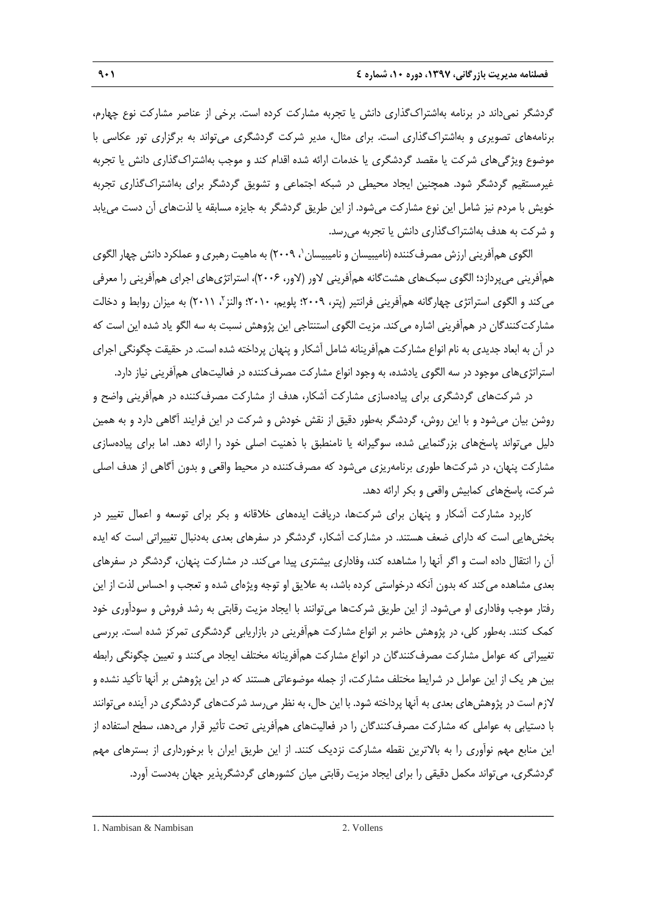گردشگر نمیداند در برنامه بهاشتراکگذاری دانش یا تجربه مشارکت کرده است. برخی از عناصر مشارکت نوع چهارم، برنامههای تصویری و بهاشتراکگذاری است. برای مثال، مدیر شرکت گردشگری میتواند به برگزاری تور عکاسی با موضوع ویژگیهای شرکت یا مقصد گردشگری یا خدمات ارائه شده اقدام کند و موجب بهاشتراکگذاری دانش یا تجربه غیرمستقیم گردشگر شود. همچنین ایجاد محیطی در شبکه اجتماعی و تشویق گردشگر برای بهاشتراکگذاری تجربه خویش با مردم نیز شامل این نوع مشارکت میشود. از این طریق گردشگر به جایزه مسابقه یا لذتهای آن دست مییابد و شرکت به هدف بهاشتراکگذاری دانش یا تجربه میرسد.

الگوی همآفرینی ارزش مصرف کننده (نامیبیسان و نامیبیسان`، ۲۰۰۹) به ماهیت رهبری و عملکرد دانش چهار الگوی همآفرینی میپردازد؛ الگوی سبکهای هشتگانه همآفرینی لاور (لاور، ۲۰۰۶)، استراتژیهای اجرای همآفرینی را معرفی میکند و الگوی استراتژی چهارگانه همأفرینی فرانتیر (پتر، ۲۰۰۹؛ پلویم، ۲۰۱۰؛ والنز<sup>۲</sup>، ۲۰۱۱) به میزان روابط و دخالت مشارکتکنندگان در همآفرینی اشاره میکند. مزیت الگوی استنتاجی این پژوهش نسبت به سه الگو یاد شده این است که در آن به ابعاد جدیدی به نام انواع مشارکت همآفرینانه شامل آشکار و پنهان پرداخته شده است. در حقیقت چگونگی اجرای استراتژیهای موجود در سه الگوی یادشده، به وجود انواع مشارکت مصرفکننده در فعالیتهای همآفرینی نیاز دارد.

در شرکتهای گردشگری برای پیادهسازی مشارکت آشکار، هدف از مشارکت مصرفکننده در همآفرینی واضح و روشن بیان میشود و با این روش، گردشگر بهطور دقیق از نقش خودش و شرکت در این فرایند آگاهی دارد و به همین دلیل میتواند پاسخهای بزرگنمایی شده، سوگیرانه یا نامنطبق با ذهنیت اصلی خود را ارائه دهد. اما برای پیادهسازی مشارکت پنهان، در شرکتها طوری برنامهریزی میشود که مصرفکننده در محیط واقعی و بدون آگاهی از هدف اصلی شرکت، پاسخهای کمابیش واقعی و بکر ارائه دهد.

کاربرد مشارکت آشکار و پنهان برای شرکتها، دریافت ایدههای خالقانه و بکر برای توسعه و اعمال تغییر در بخشهایی است که دارای ضعف هستند. در مشارکت آشکار، گردشگر در سفرهای بعدی بهدنبال تغییراتی است که ایده آن را انتقال داده است و اگر آنها را مشاهده کند، وفاداری بیشتری پیدا میکند. در مشارکت پنهان، گردشگر در سفرهای بعدی مشاهده میکند که بدون آنکه درخواستی کرده باشد، به عالیق او توجه ویژهای شده و تعجب و احساس لذت از این رفتار موجب وفاداری او میشود. از این طریق شرکتها میتوانند با ایجاد مزیت رقابتی به رشد فروش و سودآوری خود کمک کنند. بهطور کلی، در پژوهش حاضر بر انواع مشارکت همآفرینی در بازاریابی گردشگری تمرکز شده است. بررسی تغییراتی که عوامل مشارکت مصرفکنندگان در انواع مشارکت همآفرینانه مختلف ایجاد میکنند و تعیین چگونگی رابطه بین هر یک از این عوامل در شرایط مختلف مشارکت، از جمله موضوعاتی هستند که در این پژوهش بر آنها تأکید نشده و الزم است در پژوهشهای بعدی به آنها پرداخته شود. با این حال، به نظر میرسد شرکتهای گردشگری در آینده میتوانند با دستیابی به عواملی که مشارکت مصرفکنندگان را در فعالیتهای همآفرینی تحت تأثیر قرار میدهد، سطح استفاده از این منابع مهم نوآوری را به باالترین نقطه مشارکت نزدیک کنند. از این طریق ایران با برخورداری از بسترهای مهم گردشگری، میتواند مکمل دقیقی را برای ایجاد مزیت رقابتی میان کشورهای گردشگرپذیر جهان بهدست آورد.

ــــــــــــــــــــــــــــــــــــــــــــــــــــــــــــــــــــــــــــــــــــــــــــــــــــــــــــــــــــــــــــــــــــ

1. Nambisan & Nambisan 2. Vollens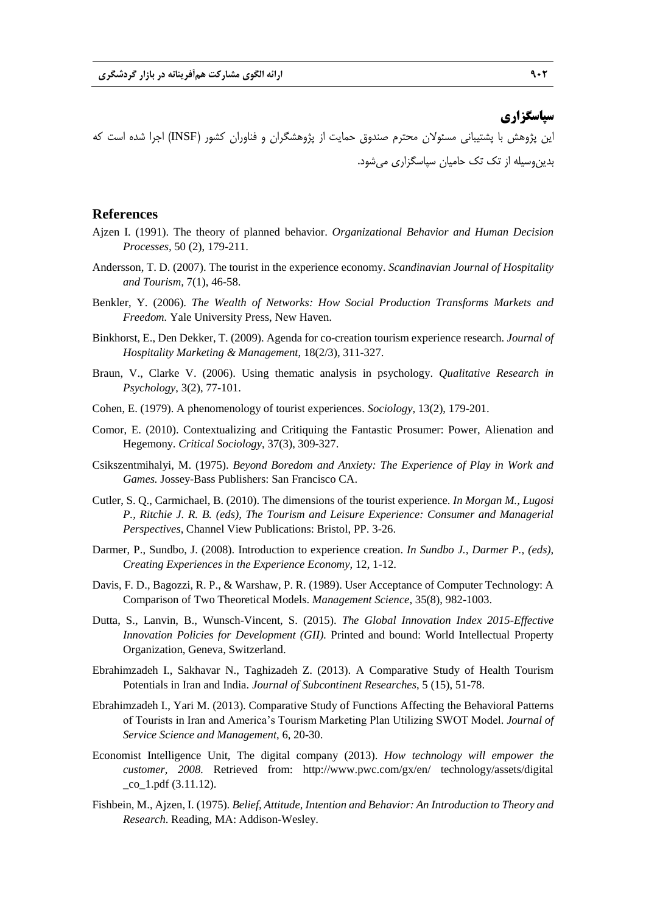## **سپاسگزاری**

این پژوهش با پشتیبانی مسئوالن محترم صندوق حمایت از پژوهشگران و فناوران کشور )INSF )اجرا شده است که بدینوسیله از تک تک حامیان سپاسگزاری میشود.

### **References**

- Ajzen I. (1991). The theory of planned behavior. *Organizational Behavior and Human Decision Processes,* 50 (2), 179-211.
- Andersson, T. D. (2007). The tourist in the experience economy. *Scandinavian Journal of Hospitality and Tourism,* 7(1), 46-58.
- Benkler, Y. (2006). *The Wealth of Networks: How Social Production Transforms Markets and Freedom.* Yale University Press, New Haven.
- Binkhorst, E., Den Dekker, T. (2009). Agenda for co-creation tourism experience research. *Journal of Hospitality Marketing & Management*, 18(2/3), 311-327.
- Braun, V., Clarke V. (2006). Using thematic analysis in psychology. *Qualitative Research in Psychology*, 3(2), 77-101.
- Cohen, E. (1979). A phenomenology of tourist experiences. *Sociology,* 13(2), 179-201.
- Comor, E. (2010). Contextualizing and Critiquing the Fantastic Prosumer: Power, Alienation and Hegemony. *Critical Sociology*, 37(3), 309-327.
- Csikszentmihalyi, M. (1975). *Beyond Boredom and Anxiety: The Experience of Play in Work and Games.* Jossey-Bass Publishers: San Francisco CA.
- Cutler, S. Q., Carmichael, B. (2010). The dimensions of the tourist experience. *In Morgan M., Lugosi P., Ritchie J. R. B. (eds), The Tourism and Leisure Experience: Consumer and Managerial Perspectives*, Channel View Publications: Bristol, PP. 3-26.
- Darmer, P., Sundbo, J. (2008). Introduction to experience creation. *In Sundbo J., Darmer P., (eds), Creating Experiences in the Experience Economy,* 12, 1-12.
- Davis, F. D., Bagozzi, R. P., & Warshaw, P. R. (1989). User Acceptance of Computer Technology: A Comparison of Two Theoretical Models. *Management Science*, 35(8), 982-1003.
- Dutta, S., Lanvin, B., Wunsch-Vincent, S. (2015). *The Global Innovation Index 2015-Effective Innovation Policies for Development (GII).* Printed and bound: World Intellectual Property Organization, Geneva, Switzerland.
- Ebrahimzadeh I., Sakhavar N., Taghizadeh Z. (2013). A Comparative Study of Health Tourism Potentials in Iran and India. *Journal of Subcontinent Researches*, 5 (15), 51-78.
- Ebrahimzadeh I., Yari M. (2013). Comparative Study of Functions Affecting the Behavioral Patterns of Tourists in Iran and America's Tourism Marketing Plan Utilizing SWOT Model. *Journal of Service Science and Management*, 6, 20-30.
- Economist Intelligence Unit, The digital company (2013). *How technology will empower the customer, 2008.* Retrieved from: http://www.pwc.com/gx/en/ technology/assets/digital  $\cot 1.$  pdf  $(3.11.12)$ .
- Fishbein, M., Ajzen, I. (1975). *Belief, Attitude, Intention and Behavior: An Introduction to Theory and Research*. Reading, MA: Addison-Wesley.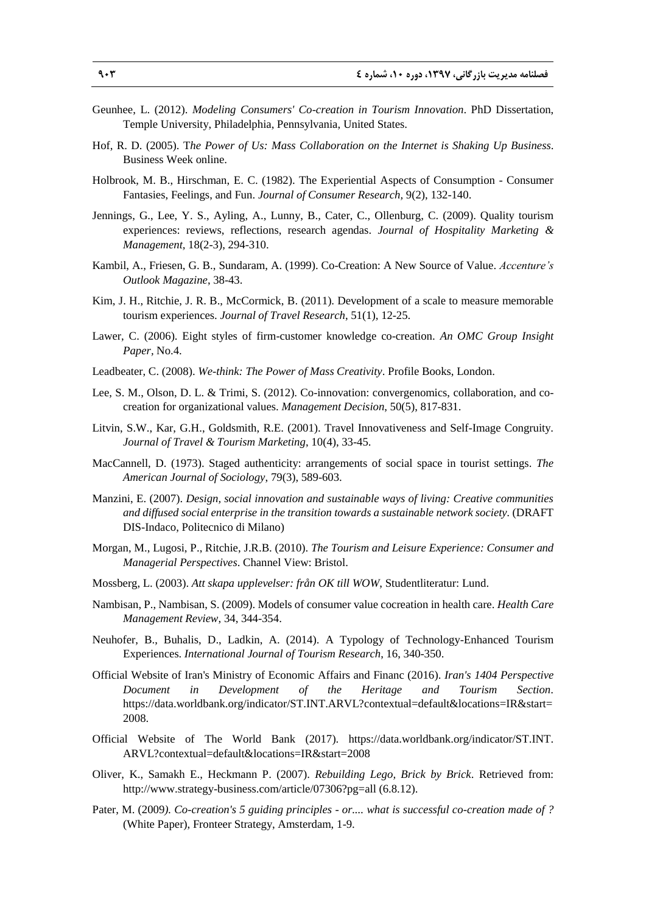- Geunhee, L. (2012). *Modeling Consumers' Co-creation in Tourism Innovation*. PhD Dissertation, Temple University, Philadelphia, Pennsylvania, United States.
- Hof, R. D. (2005). T*he Power of Us: Mass Collaboration on the Internet is Shaking Up Business*. Business Week online.
- Holbrook, M. B., Hirschman, E. C. (1982). The Experiential Aspects of Consumption Consumer Fantasies, Feelings, and Fun. *Journal of Consumer Research,* 9(2), 132-140.
- Jennings, G., Lee, Y. S., Ayling, A., Lunny, B., Cater, C., Ollenburg, C. (2009). Quality tourism experiences: reviews, reflections, research agendas. *Journal of Hospitality Marketing & Management,* 18(2-3), 294-310.
- Kambil, A., Friesen, G. B., Sundaram, A. (1999). Co-Creation: A New Source of Value. *Accenture's Outlook Magazine*, 38-43.
- Kim, J. H., Ritchie, J. R. B., McCormick, B. (2011). Development of a scale to measure memorable tourism experiences. *Journal of Travel Research*, 51(1), 12-25.
- Lawer, C. (2006). Eight styles of firm-customer knowledge co-creation. *An OMC Group Insight Paper,* No.4.
- Leadbeater, C. (2008). *We-think: The Power of Mass Creativity*. Profile Books, London.
- Lee, S. M., Olson, D. L. & Trimi, S. (2012). Co-innovation: convergenomics, collaboration, and cocreation for organizational values. *Management Decision*, 50(5), 817-831.
- Litvin, S.W., Kar, G.H., Goldsmith, R.E. (2001). Travel Innovativeness and Self-Image Congruity. *Journal of Travel & Tourism Marketing*, 10(4), 33-45.
- MacCannell, D. (1973). Staged authenticity: arrangements of social space in tourist settings. *The American Journal of Sociology*, 79(3), 589-603.
- Manzini, E. (2007). *Design, social innovation and sustainable ways of living: Creative communities and diffused social enterprise in the transition towards a sustainable network society.* (DRAFT DIS-Indaco, Politecnico di Milano)
- Morgan, M., Lugosi, P., Ritchie, J.R.B. (2010). *The Tourism and Leisure Experience: Consumer and Managerial Perspectives*. Channel View: Bristol.
- Mossberg, L. (2003). *Att skapa upplevelser: från OK till WOW*, Studentliteratur: Lund.
- Nambisan, P., Nambisan, S. (2009). Models of consumer value cocreation in health care. *Health Care Management Review*, 34, 344-354.
- Neuhofer, B., Buhalis, D., Ladkin, A. (2014). A Typology of Technology-Enhanced Tourism Experiences. *International Journal of Tourism Research*, 16, 340-350.
- Official Website of Iran's Ministry of Economic Affairs and Financ (2016). *Iran's 1404 Perspective Document in Development of the Heritage and Tourism Section.* https://data.worldbank.org/indicator/ST.INT.ARVL?contextual=default&locations=IR&start= 2008.
- Official Website of The World Bank (2017). https://data.worldbank.org/indicator/ST.INT. ARVL?contextual=default&locations=IR&start=2008
- Oliver, K., Samakh E., Heckmann P. (2007). *Rebuilding Lego, Brick by Brick*. Retrieved from: http://www.strategy-business.com/article/07306?pg=all (6.8.12).
- Pater, M. (2009*). Co-creation's 5 guiding principles - or.... what is successful co-creation made of ?* (White Paper), Fronteer Strategy, Amsterdam, 1-9.